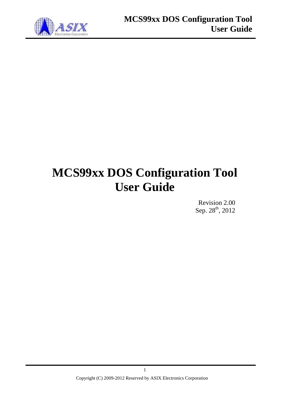

# **MCS99xx DOS Configuration Tool User Guide**

Revision 2.00 Sep. 28<sup>th</sup>, 2012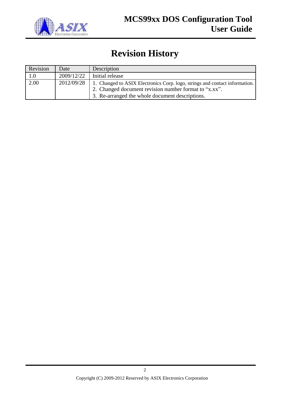

## **Revision History**

| Revision | Date       | Description                                                                 |
|----------|------------|-----------------------------------------------------------------------------|
| 1.0      | 2009/12/22 | Initial release                                                             |
| 2.00     | 2012/09/28 | 1. Changed to ASIX Electronics Corp. logo, strings and contact information. |
|          |            | 2. Changed document revision number format to "x.xx".                       |
|          |            | 3. Re-arranged the whole document descriptions.                             |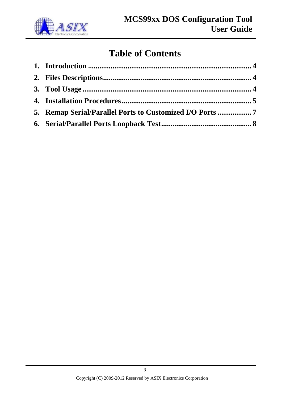

# **Table of Contents**

| 5. Remap Serial/Parallel Ports to Customized I/O Ports 7 |  |
|----------------------------------------------------------|--|
|                                                          |  |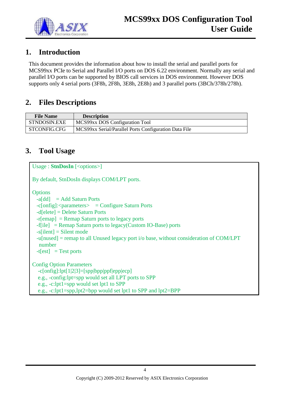

#### <span id="page-3-0"></span>**1. Introduction**

This document provides the information about how to install the serial and parallel ports for MCS99xx PCIe to Serial and Parallel I/O ports on DOS 6.22 environment. Normally any serial and parallel I/O ports can be supported by BIOS call services in DOS environment. However DOS supports only 4 serial ports (3F8h, 2F8h, 3E8h, 2E8h) and 3 parallel ports (3BCh/378h/278h).

#### <span id="page-3-1"></span>**2. Files Descriptions**

| <b>File Name</b> | <b>Description</b>                                    |
|------------------|-------------------------------------------------------|
| STNDOSIN.EXE     | MCS99xx DOS Configuration Tool                        |
| STCONFIG.CFG     | MCS99xx Serial/Parallel Ports Configuration Data File |

#### <span id="page-3-2"></span>**3. Tool Usage**

```
Usage : StnDosIn [<options>]
By default, StnDosIn displays COM/LPT ports.
Options
 -a[dd] = Add Saturn Ports
 -c[onfig]:<i>parameters</i> > = Configure Saturn Ports -d[elete] = Delete Saturn Ports
  -r[emap] = Remap Saturn ports to legacy ports
  -f[ile] = Remap Saturn ports to legacy(Custom IO-Base) ports
 -s[ilent] = Silent mode
  -u[nused] = remap to all Unused legacy port i/o base, without consideration of COM/LPT 
  number
 -t[est] = Test ports
Config Option Parameters
   -c[onfig]:lpt[1|2|3]=[spp|bpp|ppf|epp|ecp]
   e.g., -config:lpt=spp would set all LPT ports to SPP
   e.g., -c:lpt1=spp would set lpt1 to SPP
   e.g., -c:lpt1=spp,lpt2=bpp would set lpt1 to SPP and lpt2=BPP
```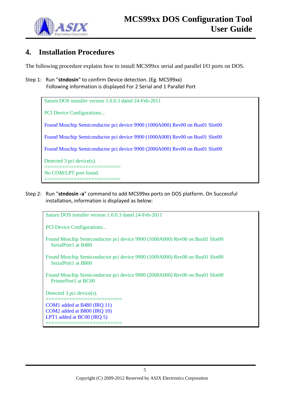

#### <span id="page-4-0"></span>**4. Installation Procedures**

The following procedure explains how to install MCS99xx serial and parallel I/O ports on DOS.

Step 1: Run "**stndosin**" to confirm Device detection. (Eg. MCS99xx) Following information is displayed For 2 Serial and 1 Parallel Port

Saturn DOS installer version 1.0.0.3 dated 24-Feb-2011

PCI Device Configurations...

Found Moschip Semiconductor pci device 9900 (1000A000) Rev00 on Bus01 Slot00

Found Moschip Semiconductor pci device 9900 (1000A000) Rev00 on Bus01 Slot00

Found Moschip Semiconductor pci device 9900 (2000A000) Rev00 on Bus01 Slot00

Detected 3 pci device(s).

=============================== No COM/LPT port found.

===============================

Step 2: Run "**stndosin -a**" command to add MCS99xx ports on DOS platform. On Successful installation, information is displayed as below:

Saturn DOS installer version 1.0.0.3 dated 24-Feb-2011

PCI Device Configurations...

Found Moschip Semiconductor pci device 9900 (1000A000) Rev00 on Bus01 Slot00 SerialPort1 at B480

- Found Moschip Semiconductor pci device 9900 (1000A000) Rev00 on Bus01 Slot00 SerialPort1 at B800
- Found Moschip Semiconductor pci device 9900 (2000A000) Rev00 on Bus01 Slot00 PrinterPort1 at BC00

Detected 3 pci device(s).

================================ COM1 added at B480 (IRQ 11) COM2 added at B800 (IRQ 10) LPT1 added at BC00 (IRQ 5) ================================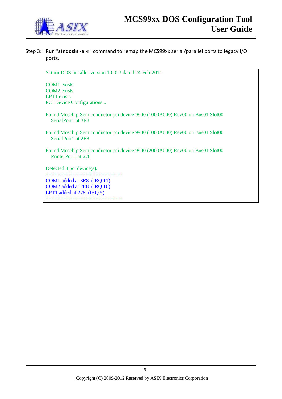

#### Step 3: Run "**stndosin -a -r**" command to remap the MCS99xx serial/parallel ports to legacy I/O ports.

Saturn DOS installer version 1.0.0.3 dated 24-Feb-2011 COM1 exists COM2 exists LPT1 exists PCI Device Configurations... Found Moschip Semiconductor pci device 9900 (1000A000) Rev00 on Bus01 Slot00 SerialPort1 at 3E8 Found Moschip Semiconductor pci device 9900 (1000A000) Rev00 on Bus01 Slot00 SerialPort1 at 2E8 Found Moschip Semiconductor pci device 9900 (2000A000) Rev00 on Bus01 Slot00 PrinterPort1 at 278 Detected 3 pci device(s). ================================ COM1 added at 3E8 (IRQ 11) COM2 added at 2E8 (IRQ 10) LPT1 added at 278 (IRQ 5) ============================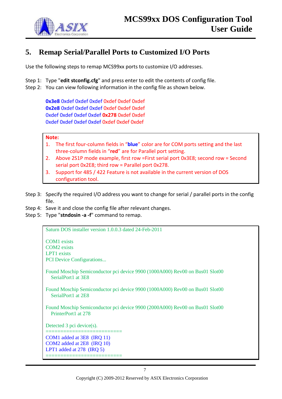

### <span id="page-6-0"></span>**5. Remap Serial/Parallel Ports to Customized I/O Ports**

Use the following steps to remap MCS99xx ports to customize I/O addresses.

- Step 1: Type "**edit stconfig.cfg**" and press enter to edit the contents of config file.
- Step 2: You can view following information in the config file as shown below.

**0x3e8** 0xdef 0xdef 0xdef 0xdef 0xdef 0xdef **0x2e8** 0xdef 0xdef 0xdef 0xdef 0xdef 0xdef 0xdef 0xdef 0xdef 0xdef **0x278** 0xdef 0xdef 0xdef 0xdef 0xdef 0xdef 0xdef 0xdef 0xdef

#### **Note:**

- 1. The first four-column fields in "**blue**" color are for COM ports setting and the last three-column fields in "**red**" are for Parallel port setting.
- 2. Above 2S1P mode example, first row =First serial port 0x3E8; second row = Second serial port 0x2E8; third row = Parallel port 0x278.
- 3. Support for 485 / 422 Feature is not available in the current version of DOS configuration tool.
- Step 3: Specify the required I/O address you want to change for serial / parallel ports in the config file.
- Step 4: Save it and close the config file after relevant changes.
- Step 5: Type "**stndosin -a -f**" command to remap.

Saturn DOS installer version 1.0.0.3 dated 24-Feb-2011

COM1 exists COM2 exists LPT1 exists PCI Device Configurations... Found Moschip Semiconductor pci device 9900 (1000A000) Rev00 on Bus01 Slot00 SerialPort1 at 3E8 Found Moschip Semiconductor pci device 9900 (1000A000) Rev00 on Bus01 Slot00 SerialPort1 at 2E8 Found Moschip Semiconductor pci device 9900 (2000A000) Rev00 on Bus01 Slot00 PrinterPort1 at 278 Detected 3 pci device(s). ============================= COM1 added at 3E8 (IRQ 11) COM2 added at 2E8 (IRQ 10) LPT1 added at 278 (IRQ 5) ================================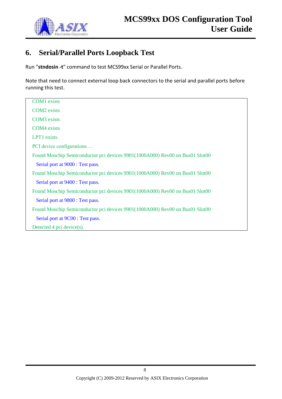

### <span id="page-7-0"></span>**6. Serial/Parallel Ports Loopback Test**

Run "**stndosin -t**" command to test MCS99xx Serial or Parallel Ports.

Note that need to connect external loop back connectors to the serial and parallel ports before running this test.

| <b>COM1</b> exists                                                           |
|------------------------------------------------------------------------------|
| <b>COM2</b> exists                                                           |
| <b>COM3</b> exists                                                           |
| <b>COM4</b> exists                                                           |
| <b>LPT1</b> exists                                                           |
| PCI device configurations                                                    |
| Found Moschip Semiconductor pci devices 9901(1000A000) Rev00 on Bus01 Slot00 |
| Serial port at 9000 : Test pass.                                             |
| Found Moschip Semiconductor pci devices 9901(1000A000) Rev00 on Bus01 Slot00 |
| Serial port at 9400 : Test pass.                                             |
| Found Moschip Semiconductor pci devices 9901(1000A000) Rev00 on Bus01 Slot00 |
| Serial port at 9800 : Test pass.                                             |
| Found Moschip Semiconductor pci devices 9901(1000A000) Rev00 on Bus01 Slot00 |
| Serial port at 9C00 : Test pass.                                             |
| Detected 4 pci device(s).                                                    |
|                                                                              |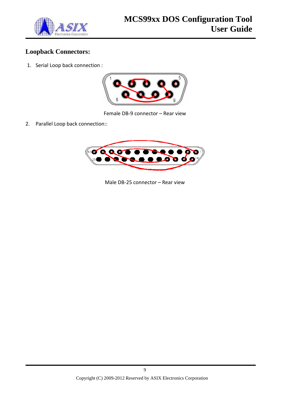

#### **Loopback Connectors:**

1. Serial Loop back connection :



Female DB-9 connector – Rear view

2. Parallel Loop back connection::



Male DB-25 connector – Rear view